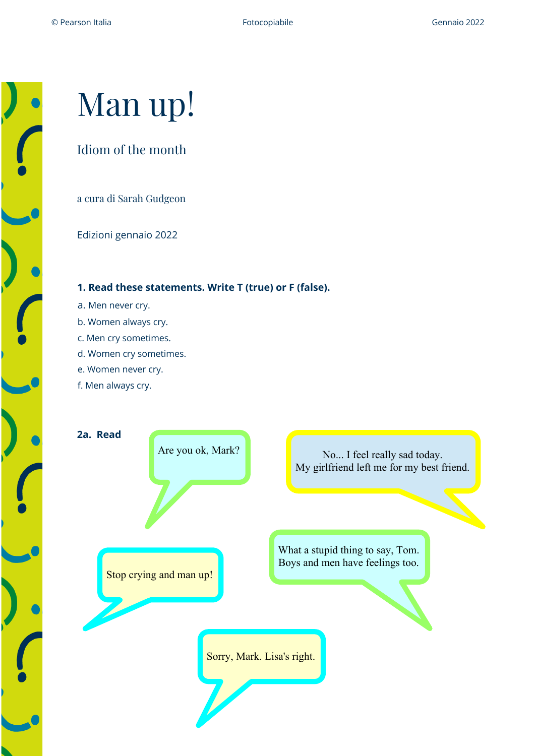# Man up!

# Idiom of the month

a cura di Sarah Gudgeon

Edizioni gennaio 2022

## **1. Read these statements. Write T (true) or F (false).**

- a. Men never cry.
- b. Women always cry.
- c. Men cry sometimes.
- d. Women cry sometimes.
- e. Women never cry.
- f. Men always cry.

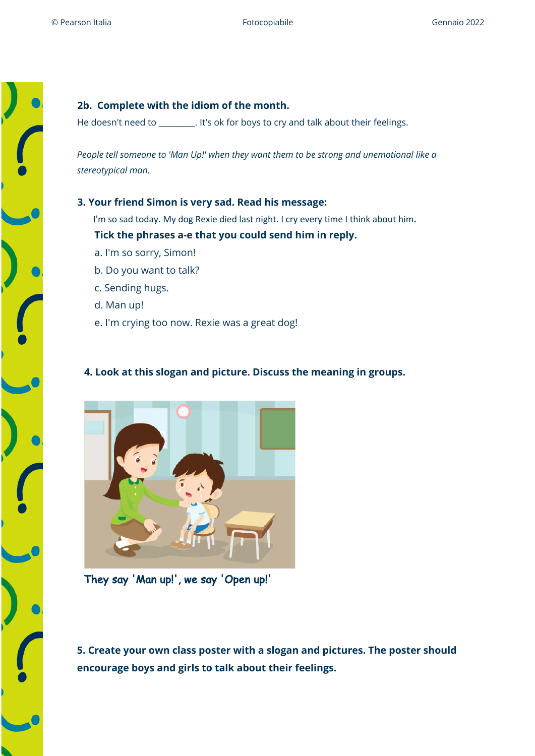

## **2b. Complete with the idiom of the month.**

He doesn't need to \_\_\_\_\_\_\_\_\_. It's ok for boys to cry and talk about their feelings.

*People tell someone to 'Man Up!' when they want them to be strong and unemotional like a stereotypical man.*

#### **3. Your friend Simon is very sad. Read his message:**

I'm so sad today. My dog Rexie died last night. I cry every time I think about him**.**

#### **Tick the phrases a-e that you could send him in reply.**

- a. I'm so sorry, Simon!
- b. Do you want to talk?
- c. Sending hugs.
- d. Man up!
- e. I'm crying too now. Rexie was a great dog!

# **4. Look at this slogan and picture. Discuss the meaning in groups.**



They say 'Man up!', we say 'Open up!'

**5. Create your own class poster with a slogan and pictures. The poster should encourage boys and girls to talk about their feelings.**